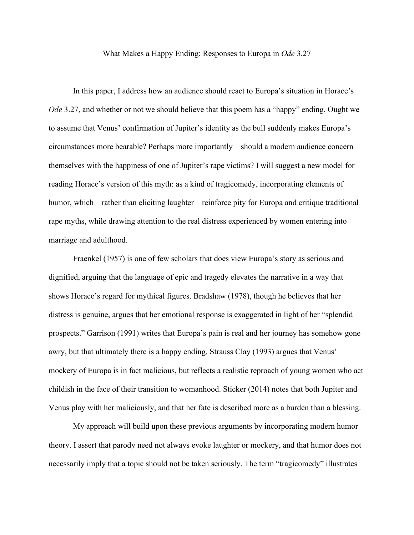What Makes a Happy Ending: Responses to Europa in *Ode* 3.27

In this paper, I address how an audience should react to Europa's situation in Horace's *Ode* 3.27, and whether or not we should believe that this poem has a "happy" ending. Ought we to assume that Venus' confirmation of Jupiter's identity as the bull suddenly makes Europa's circumstances more bearable? Perhaps more importantly—should a modern audience concern themselves with the happiness of one of Jupiter's rape victims? I will suggest a new model for reading Horace's version of this myth: as a kind of tragicomedy, incorporating elements of humor, which—rather than eliciting laughter—reinforce pity for Europa and critique traditional rape myths, while drawing attention to the real distress experienced by women entering into marriage and adulthood.

Fraenkel (1957) is one of few scholars that does view Europa's story as serious and dignified, arguing that the language of epic and tragedy elevates the narrative in a way that shows Horace's regard for mythical figures. Bradshaw (1978), though he believes that her distress is genuine, argues that her emotional response is exaggerated in light of her "splendid prospects." Garrison (1991) writes that Europa's pain is real and her journey has somehow gone awry, but that ultimately there is a happy ending. Strauss Clay (1993) argues that Venus' mockery of Europa is in fact malicious, but reflects a realistic reproach of young women who act childish in the face of their transition to womanhood. Sticker (2014) notes that both Jupiter and Venus play with her maliciously, and that her fate is described more as a burden than a blessing.

My approach will build upon these previous arguments by incorporating modern humor theory. I assert that parody need not always evoke laughter or mockery, and that humor does not necessarily imply that a topic should not be taken seriously. The term "tragicomedy" illustrates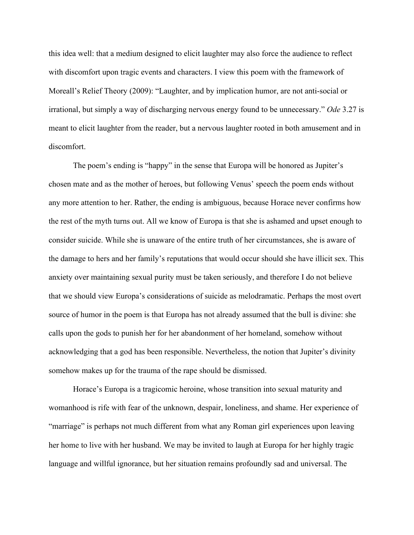this idea well: that a medium designed to elicit laughter may also force the audience to reflect with discomfort upon tragic events and characters. I view this poem with the framework of Moreall's Relief Theory (2009): "Laughter, and by implication humor, are not anti-social or irrational, but simply a way of discharging nervous energy found to be unnecessary." *Ode* 3.27 is meant to elicit laughter from the reader, but a nervous laughter rooted in both amusement and in discomfort.

The poem's ending is "happy" in the sense that Europa will be honored as Jupiter's chosen mate and as the mother of heroes, but following Venus' speech the poem ends without any more attention to her. Rather, the ending is ambiguous, because Horace never confirms how the rest of the myth turns out. All we know of Europa is that she is ashamed and upset enough to consider suicide. While she is unaware of the entire truth of her circumstances, she is aware of the damage to hers and her family's reputations that would occur should she have illicit sex. This anxiety over maintaining sexual purity must be taken seriously, and therefore I do not believe that we should view Europa's considerations of suicide as melodramatic. Perhaps the most overt source of humor in the poem is that Europa has not already assumed that the bull is divine: she calls upon the gods to punish her for her abandonment of her homeland, somehow without acknowledging that a god has been responsible. Nevertheless, the notion that Jupiter's divinity somehow makes up for the trauma of the rape should be dismissed.

Horace's Europa is a tragicomic heroine, whose transition into sexual maturity and womanhood is rife with fear of the unknown, despair, loneliness, and shame. Her experience of "marriage" is perhaps not much different from what any Roman girl experiences upon leaving her home to live with her husband. We may be invited to laugh at Europa for her highly tragic language and willful ignorance, but her situation remains profoundly sad and universal. The